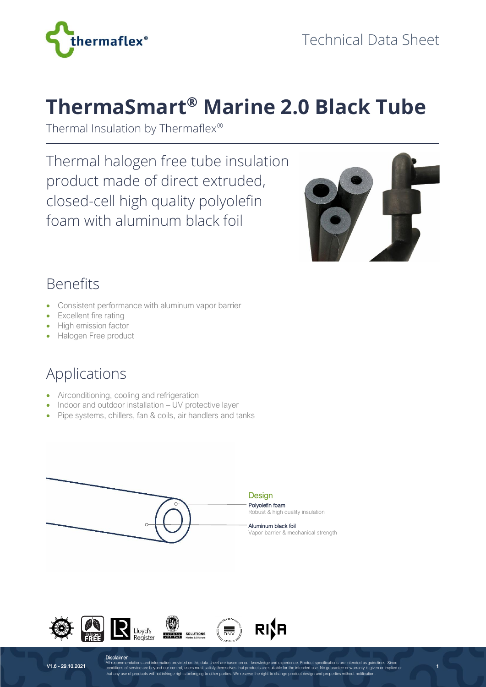

# **ThermaSmart® Marine 2.0 Black Tube**

Thermal Insulation by Thermaflex®

Thermal halogen free tube insulation product made of direct extruded, closed-cell high quality polyolefin foam with aluminum black foil



1

#### Benefits

- Consistent performance with aluminum vapor barrier
- Excellent fire rating
- High emission factor
- Halogen Free product

# Applications

- Airconditioning, cooling and refrigeration
- Indoor and outdoor installation UV protective layer
- Pipe systems, chillers, fan & coils, air handlers and tanks